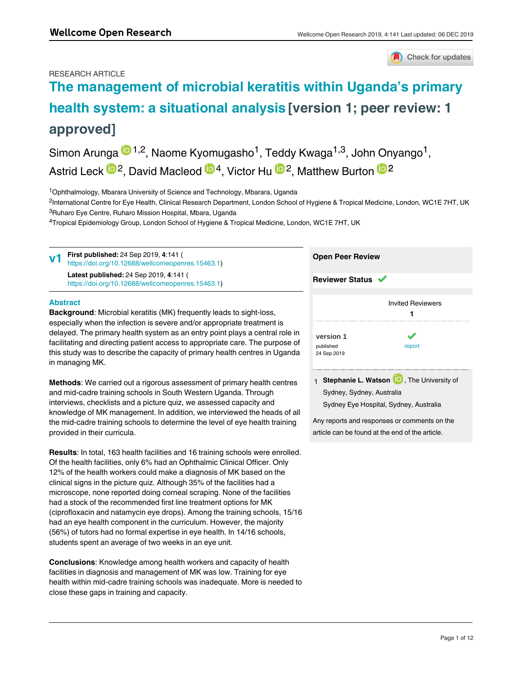#### RESEARCH ARTICLE

Check for updates

# **[The management of microbial keratitis within Uganda's primary](https://wellcomeopenresearch.org/articles/4-141/v1) [health system: a situational analysis](https://wellcomeopenresearch.org/articles/4-141/v1) [version 1; peer review: 1 approved]**

Simon Arunga <sup>in 1,2</sup>, Naome Kyomugasho<sup>1</sup>, Teddy Kwaga<sup>1,3</sup>, John Onyango<sup>1</sup>, Astrid Leck  $\mathbb{D}^2$ , David Macleod  $\mathbb{D}^4$ , Victor Hu  $\mathbb{D}^2$ , Matthew Burton  $\mathbb{D}^2$ 

<sup>1</sup>Ophthalmology, Mbarara University of Science and Technology, Mbarara, Uganda

<sup>2</sup>International Centre for Eye Health, Clinical Research Department, London School of Hygiene & Tropical Medicine, London, WC1E 7HT, UK <sup>3</sup>Ruharo Eye Centre, Ruharo Mission Hospital, Mbara, Uganda

 $^4$ Tropical Epidemiology Group, London School of Hygiene & Tropical Medicine, London, WC1E 7HT, UK

| V <sub>1</sub> | <b>First published:</b> 24 Sep 2019, 4:141 (<br>https://doi.org/10.12688/wellcomeopenres.15463.1) | <b>Open Peer Review</b>  |  |  |
|----------------|---------------------------------------------------------------------------------------------------|--------------------------|--|--|
|                | Latest published: 24 Sep 2019, 4:141 (<br>https://doi.org/10.12688/wellcomeopenres.15463.1)       | <b>Reviewer Status ↓</b> |  |  |

#### **Abstract**

**Keywords** 

**Background**: Microbial keratitis (MK) frequently leads to sight-loss, especially when the infection is severe and/or appropriate treatment is delayed. The primary health system as an entry point plays a central role in facilitating and directing patient access to appropriate care. The purpose of this study was to describe the capacity of primary health centres in Uganda in managing MK.

**Methods**: We carried out a rigorous assessment of primary health centres and mid-cadre training schools in South Western Uganda. Through interviews, checklists and a picture quiz, we assessed capacity and knowledge of MK management. In addition, we interviewed the heads of all the mid-cadre training schools to determine the level of eye health training provided in their curricula.

**Results**: In total, 163 health facilities and 16 training schools were enrolled. Of the health facilities, only 6% had an Ophthalmic Clinical Officer. Only 12% of the health workers could make a diagnosis of MK based on the clinical signs in the picture quiz. Although 35% of the facilities had a microscope, none reported doing corneal scraping. None of the facilities had a stock of the recommended first line treatment options for MK (ciprofloxacin and natamycin eye drops). Among the training schools, 15/16 had an eye health component in the curriculum. However, the majority (56%) of tutors had no formal expertise in eye health. In 14/16 schools, students spent an average of two weeks in an eye unit.

**Conclusions**: Knowledge among health workers and capacity of health facilities in diagnosis and management of MK was low. Training for eye health within mid-cadre training schools was inadequate. More is needed to close these gaps in training and capacity.

| <b>Reviewer Status</b> ✔              |                          |  |  |  |  |
|---------------------------------------|--------------------------|--|--|--|--|
|                                       | <b>Invited Reviewers</b> |  |  |  |  |
| version 1<br>published<br>24 Sep 2019 | report                   |  |  |  |  |

1 **Stephanie L. Watson UP**, The University of Sydney, Sydney, Australia Sydney Eye Hospital, Sydney, Australia

Any reports and responses or comments on the article can be found at the end of the article.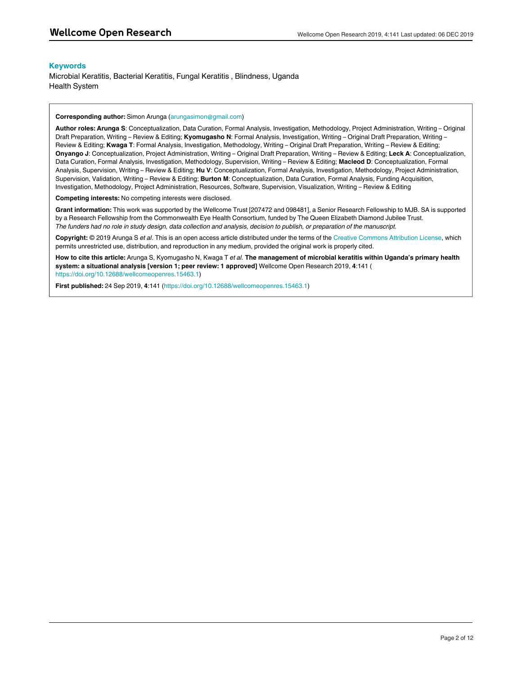#### **Keywords**

Microbial Keratitis, Bacterial Keratitis, Fungal Keratitis , Blindness, Uganda Health System

#### **Corresponding author:** Simon Arunga (arungasimon@gmail.com)

**Author roles: Arunga S**: Conceptualization, Data Curation, Formal Analysis, Investigation, Methodology, Project Administration, Writing – Original Draft Preparation, Writing – Review & Editing; **Kyomugasho N**: Formal Analysis, Investigation, Writing – Original Draft Preparation, Writing – Review & Editing; **Kwaga T**: Formal Analysis, Investigation, Methodology, Writing – Original Draft Preparation, Writing – Review & Editing; **Onyango J**: Conceptualization, Project Administration, Writing – Original Draft Preparation, Writing – Review & Editing; **Leck A**: Conceptualization, Data Curation, Formal Analysis, Investigation, Methodology, Supervision, Writing – Review & Editing; **Macleod D**: Conceptualization, Formal Analysis, Supervision, Writing – Review & Editing; **Hu V**: Conceptualization, Formal Analysis, Investigation, Methodology, Project Administration, Supervision, Validation, Writing – Review & Editing; **Burton M**: Conceptualization, Data Curation, Formal Analysis, Funding Acquisition, Investigation, Methodology, Project Administration, Resources, Software, Supervision, Visualization, Writing – Review & Editing

**Competing interests:** No competing interests were disclosed.

**Grant information:** This work was supported by the Wellcome Trust [207472 and 098481], a Senior Research Fellowship to MJB. SA is supported by a Research Fellowship from the Commonwealth Eye Health Consortium, funded by The Queen Elizabeth Diamond Jubilee Trust. *The funders had no role in study design, data collection and analysis, decision to publish, or preparation of the manuscript.*

**Copyright:** © 2019 Arunga S *et al*. This is an open access article distributed under the terms of the [Creative Commons Attribution License](http://creativecommons.org/licenses/by/4.0/), which permits unrestricted use, distribution, and reproduction in any medium, provided the original work is properly cited.

**How to cite this article:** Arunga S, Kyomugasho N, Kwaga T *et al.* **The management of microbial keratitis within Uganda's primary health system: a situational analysis [version 1; peer review: 1 approved]** Wellcome Open Research 2019, **4**:141 ( [https://doi.org/10.12688/wellcomeopenres.15463.1\)](https://doi.org/10.12688/wellcomeopenres.15463.1)

**First published:** 24 Sep 2019, **4**:141 [\(https://doi.org/10.12688/wellcomeopenres.15463.1\)](https://doi.org/10.12688/wellcomeopenres.15463.1)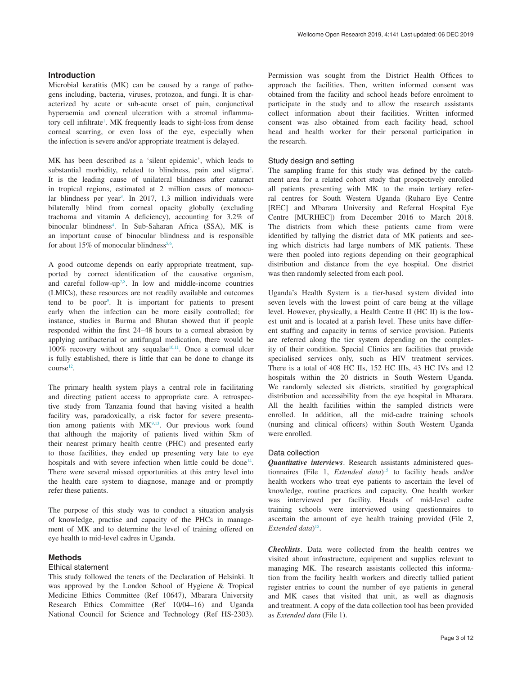#### **Introduction**

Microbial keratitis (MK) can be caused by a range of pathogens including, bacteria, viruses, protozoa, and fungi. It is characterized by acute or sub-acute onset of pain, conjunctival hyperaemia and corneal ulceration with a stromal inflammatory cell infiltrate<sup>1</sup>. MK frequently leads to sight-loss from dense corneal scarring, or even loss of the eye, especially when the infection is severe and/or appropriate treatment is delayed.

MK has been described as a 'silent epidemic', which leads to substantial morbidity, related to blindness, pain and stigma<sup>[2](#page-8-0)</sup>. It is the leading cause of unilateral blindness after cataract in tropical regions, estimated at 2 million cases of monocu-lar blindness per year<sup>[3](#page-8-0)</sup>. In 2017, 1.3 million individuals were bilaterally blind from corneal opacity globally (excluding trachoma and vitamin A deficiency), accounting for 3.2% of binocular blindness<sup>4</sup>. In Sub-Saharan Africa (SSA), MK is an important cause of binocular blindness and is responsible for about 15% of monocular blindness<sup>[5,6](#page-8-0)</sup>.

A good outcome depends on early appropriate treatment, supported by correct identification of the causative organism, and careful follow-up<sup>[7,8](#page-8-0)</sup>. In low and middle-income countries (LMICs), these resources are not readily available and outcomes tend to be poor<sup>9</sup>. It is important for patients to present early when the infection can be more easily controlled; for instance, studies in Burma and Bhutan showed that if people responded within the first 24–48 hours to a corneal abrasion by applying antibacterial or antifungal medication, there would be  $100\%$  recovery without any sequalae<sup>10,11</sup>. Once a corneal ulcer is fully established, there is little that can be done to change its  $course<sup>12</sup>$ .

The primary health system plays a central role in facilitating and directing patient access to appropriate care. A retrospective study from Tanzania found that having visited a health facility was, paradoxically, a risk factor for severe presentation among patients with  $MK<sup>9,13</sup>$  $MK<sup>9,13</sup>$  $MK<sup>9,13</sup>$ . Our previous work found that although the majority of patients lived within 5km of their nearest primary health centre (PHC) and presented early to those facilities, they ended up presenting very late to eye hospitals and with severe infection when little could be done<sup>14</sup>. There were several missed opportunities at this entry level into the health care system to diagnose, manage and or promptly refer these patients.

The purpose of this study was to conduct a situation analysis of knowledge, practise and capacity of the PHCs in management of MK and to determine the level of training offered on eye health to mid-level cadres in Uganda.

#### **Methods**

#### Ethical statement

This study followed the tenets of the Declaration of Helsinki. It was approved by the London School of Hygiene & Tropical Medicine Ethics Committee (Ref 10647), Mbarara University Research Ethics Committee (Ref 10/04–16) and Uganda National Council for Science and Technology (Ref HS-2303).

Permission was sought from the District Health Offices to approach the facilities. Then, written informed consent was obtained from the facility and school heads before enrolment to participate in the study and to allow the research assistants collect information about their facilities. Written informed consent was also obtained from each facility head, school head and health worker for their personal participation in the research.

#### Study design and setting

The sampling frame for this study was defined by the catchment area for a related cohort study that prospectively enrolled all patients presenting with MK to the main tertiary referral centres for South Western Uganda (Ruharo Eye Centre [REC] and Mbarara University and Referral Hospital Eye Centre [MURHEC]) from December 2016 to March 2018. The districts from which these patients came from were identified by tallying the district data of MK patients and seeing which districts had large numbers of MK patients. These were then pooled into regions depending on their geographical distribution and distance from the eye hospital. One district was then randomly selected from each pool.

Uganda's Health System is a tier-based system divided into seven levels with the lowest point of care being at the village level. However, physically, a Health Centre II (HC II) is the lowest unit and is located at a parish level. These units have different staffing and capacity in terms of service provision. Patients are referred along the tier system depending on the complexity of their condition. Special Clinics are facilities that provide specialised services only, such as HIV treatment services. There is a total of 408 HC IIs, 152 HC IIIs, 43 HC IVs and 12 hospitals within the 20 districts in South Western Uganda. We randomly selected six districts, stratified by geographical distribution and accessibility from the eye hospital in Mbarara. All the health facilities within the sampled districts were enrolled. In addition, all the mid-cadre training schools (nursing and clinical officers) within South Western Uganda were enrolled.

#### Data collection

*Quantitative interviews*. Research assistants administered questionnaires (File 1, *Extended data*) [15](#page-8-0) to facility heads and/or health workers who treat eye patients to ascertain the level of knowledge, routine practices and capacity. One health worker was interviewed per facility. Heads of mid-level cadre training schools were interviewed using questionnaires to ascertain the amount of eye health training provided (File 2, *Extended data*) [15.](#page-8-0)

*Checklists*. Data were collected from the health centres we visited about infrastructure, equipment and supplies relevant to managing MK. The research assistants collected this information from the facility health workers and directly tallied patient register entries to count the number of eye patients in general and MK cases that visited that unit, as well as diagnosis and treatment. A copy of the data collection tool has been provided as *Extended data* (File 1).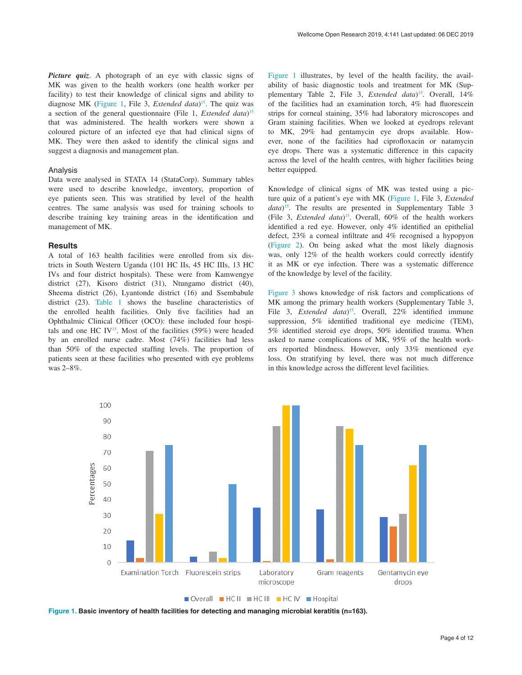*Picture quiz.* A photograph of an eye with classic signs of MK was given to the health workers (one health worker per facility) to test their knowledge of clinical signs and ability to diagnose MK (Figure 1, File 3, *Extended data*) [15.](#page-8-0) The quiz was a section of the general questionnaire (File 1, *Extended data*) [15](#page-8-0) that was administered. The health workers were shown a coloured picture of an infected eye that had clinical signs of MK. They were then asked to identify the clinical signs and suggest a diagnosis and management plan.

#### Analysis

Data were analysed in STATA 14 (StataCorp). Summary tables were used to describe knowledge, inventory, proportion of eye patients seen. This was stratified by level of the health centres. The same analysis was used for training schools to describe training key training areas in the identification and management of MK.

#### **Results**

A total of 163 health facilities were enrolled from six districts in South Western Uganda (101 HC IIs, 45 HC IIIs, 13 HC IVs and four district hospitals). These were from Kamwengye district (27), Kisoro district (31), Ntungamo district (40), Sheema district (26), Lyantonde district (16) and Ssembabule district (23). [Table 1](#page-4-0) shows the baseline characteristics of the enrolled health facilities. Only five facilities had an Ophthalmic Clinical Officer (OCO): these included four hospitals and one HC IV<sup>15</sup>. Most of the facilities  $(59\%)$  were headed by an enrolled nurse cadre. Most (74%) facilities had less than 50% of the expected staffing levels. The proportion of patients seen at these facilities who presented with eye problems was 2–8%.

Figure 1 illustrates, by level of the health facility, the availability of basic diagnostic tools and treatment for MK (Supplementary Table 2, File 3, *Extended data*<sup>15</sup>. Overall, 14% of the facilities had an examination torch, 4% had fluorescein strips for corneal staining, 35% had laboratory microscopes and Gram staining facilities. When we looked at eyedrops relevant to MK, 29% had gentamycin eye drops available. However, none of the facilities had ciprofloxacin or natamycin eye drops. There was a systematic difference in this capacity across the level of the health centres, with higher facilities being better equipped.

Knowledge of clinical signs of MK was tested using a picture quiz of a patient's eye with MK (Figure 1, File 3, *Extended data*) [15.](#page-8-0) The results are presented in Supplementary Table 3 (File 3, *Extended data*)[15](#page-8-0). Overall, 60% of the health workers identified a red eye. However, only 4% identified an epithelial defect, 23% a corneal infiltrate and 4% recognised a hypopyon ([Figure 2\)](#page-4-0). On being asked what the most likely diagnosis was, only 12% of the health workers could correctly identify it as MK or eye infection. There was a systematic difference of the knowledge by level of the facility.

[Figure 3](#page-5-0) shows knowledge of risk factors and complications of MK among the primary health workers (Supplementary Table 3, File 3, *Extended data*) [15](#page-8-0). Overall, 22% identified immune suppression, 5% identified traditional eye medicine (TEM), 5% identified steroid eye drops, 50% identified trauma. When asked to name complications of MK, 95% of the health workers reported blindness. However, only 33% mentioned eye loss. On stratifying by level, there was not much difference in this knowledge across the different level facilities.



**Figure 1. Basic inventory of health facilities for detecting and managing microbial keratitis (n=163).**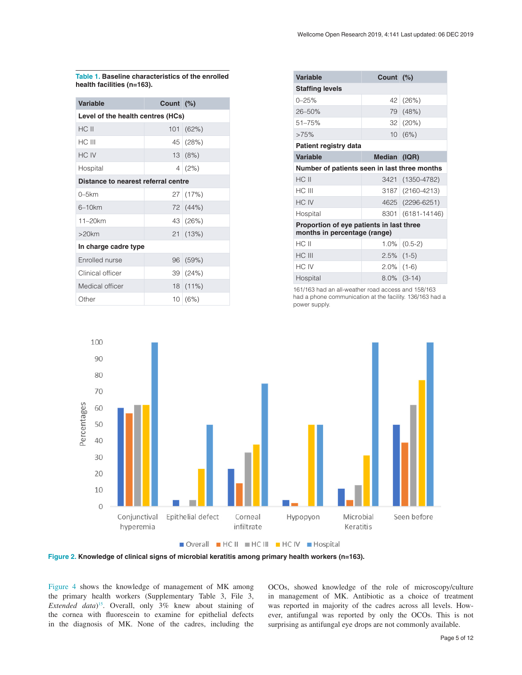<span id="page-4-0"></span>**Table 1. Baseline characteristics of the enrolled health facilities (n=163).**

| <b>Variable</b>                     | Count (%) |                  |  |  |  |  |
|-------------------------------------|-----------|------------------|--|--|--|--|
| Level of the health centres (HCs)   |           |                  |  |  |  |  |
| HC II                               | 101       | (62%)            |  |  |  |  |
| HC III                              |           | $45 \mid (28\%)$ |  |  |  |  |
| HC IV                               |           | 13(8%)           |  |  |  |  |
| Hospital                            |           | 4(2%)            |  |  |  |  |
| Distance to nearest referral centre |           |                  |  |  |  |  |
| $0-5km$                             |           | 27   (17%)       |  |  |  |  |
| 6–10km                              |           | 72 (44%)         |  |  |  |  |
| $11 - 20$ km                        |           | 43 (26%)         |  |  |  |  |
| $>20$ km                            |           | 21 (13%)         |  |  |  |  |
| In charge cadre type                |           |                  |  |  |  |  |
| Enrolled nurse                      | 96        | (59%)            |  |  |  |  |
| Clinical officer                    |           | 39 (24%)         |  |  |  |  |
| Medical officer                     |           | $18(11\%)$       |  |  |  |  |
| Other                               |           | 10(6%)           |  |  |  |  |

| <b>Variable</b>                                                          | Count (%)     |                   |  |  |  |  |
|--------------------------------------------------------------------------|---------------|-------------------|--|--|--|--|
| <b>Staffing levels</b>                                                   |               |                   |  |  |  |  |
| $0 - 25%$                                                                | 42            | (26%)             |  |  |  |  |
| $26 - 50%$                                                               |               | 79 (48%)          |  |  |  |  |
| $51 - 75%$                                                               |               | $32   (20\%)$     |  |  |  |  |
| >75%                                                                     |               | 10(6%)            |  |  |  |  |
| Patient registry data                                                    |               |                   |  |  |  |  |
| <b>Variable</b><br>Median (IQR)                                          |               |                   |  |  |  |  |
| Number of patients seen in last three months                             |               |                   |  |  |  |  |
| HC II                                                                    | 3421          | $(1350 - 4782)$   |  |  |  |  |
| HC III                                                                   |               | 3187 (2160-4213)  |  |  |  |  |
| HC IV                                                                    |               | 4625 (2296-6251)  |  |  |  |  |
| Hospital                                                                 |               | 8301 (6181-14146) |  |  |  |  |
| Proportion of eye patients in last three<br>months in percentage (range) |               |                   |  |  |  |  |
| HC II                                                                    |               | $1.0\%$ (0.5-2)   |  |  |  |  |
| HC III                                                                   | $2.5\%$ (1-5) |                   |  |  |  |  |
| HC IV                                                                    | $2.0\%$ (1-6) |                   |  |  |  |  |
| Hospital                                                                 |               | $8.0\%$ (3-14)    |  |  |  |  |
| 161/163 had an all-weather road access and 158/163                       |               |                   |  |  |  |  |

161/163 had an all-weather road access and 158/163 had a phone communication at the facility. 136/163 had a power supply.



Overall HCII HCIII HCIV Hospital

**Figure 2. Knowledge of clinical signs of microbial keratitis among primary health workers (n=163).**

[Figure 4](#page-5-0) shows the knowledge of management of MK among the primary health workers (Supplementary Table 3, File 3, *Extended data*) [15.](#page-8-0) Overall, only 3% knew about staining of the cornea with fluorescein to examine for epithelial defects in the diagnosis of MK. None of the cadres, including the

OCOs, showed knowledge of the role of microscopy/culture in management of MK. Antibiotic as a choice of treatment was reported in majority of the cadres across all levels. However, antifungal was reported by only the OCOs. This is not surprising as antifungal eye drops are not commonly available.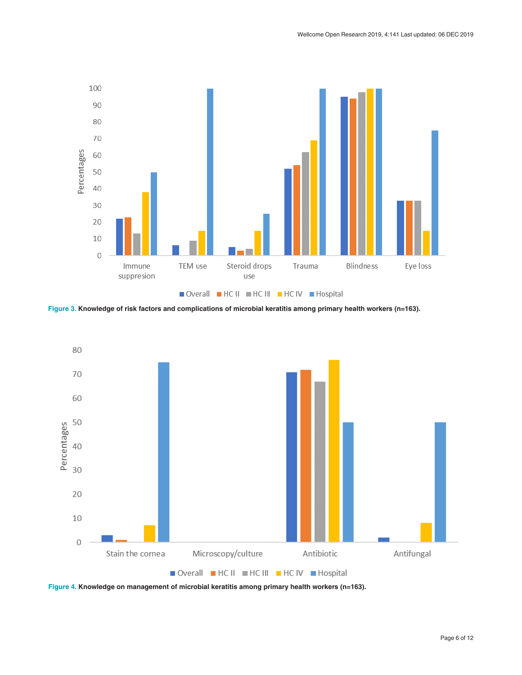<span id="page-5-0"></span>

**Figure 3. Knowledge of risk factors and complications of microbial keratitis among primary health workers (n=163).**



**Figure 4. Knowledge on management of microbial keratitis among primary health workers (n=163).**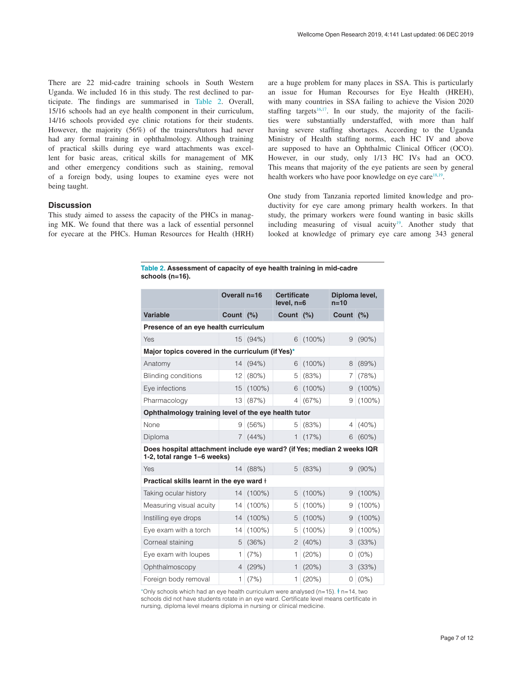There are 22 mid-cadre training schools in South Western Uganda. We included 16 in this study. The rest declined to participate. The findings are summarised in Table 2. Overall, 15/16 schools had an eye health component in their curriculum, 14/16 schools provided eye clinic rotations for their students. However, the majority (56%) of the trainers/tutors had never had any formal training in ophthalmology. Although training of practical skills during eye ward attachments was excellent for basic areas, critical skills for management of MK and other emergency conditions such as staining, removal of a foreign body, using loupes to examine eyes were not being taught.

#### **Discussion**

This study aimed to assess the capacity of the PHCs in managing MK. We found that there was a lack of essential personnel for eyecare at the PHCs. Human Resources for Health (HRH) are a huge problem for many places in SSA. This is particularly an issue for Human Recourses for Eye Health (HREH), with many countries in SSA failing to achieve the Vision 2020 staffing targets<sup>16,17</sup>. In our study, the majority of the facilities were substantially understaffed, with more than half having severe staffing shortages. According to the Uganda Ministry of Health staffing norms, each HC IV and above are supposed to have an Ophthalmic Clinical Officer (OCO). However, in our study, only 1/13 HC IVs had an OCO. This means that majority of the eye patients are seen by general health workers who have poor knowledge on eye care<sup>[18,19](#page-8-0)</sup>.

One study from Tanzania reported limited knowledge and productivity for eye care among primary health workers. In that study, the primary workers were found wanting in basic skills including measuring of visual acuity<sup>19</sup>. Another study that looked at knowledge of primary eye care among 343 general

|                 | Table 2. Assessment of capacity of eye health training in mid-cadre |  |  |  |
|-----------------|---------------------------------------------------------------------|--|--|--|
| schools (n=16). |                                                                     |  |  |  |

|                                                                                                       | Overall n=16   |            | <b>Certificate</b><br>$level, n=6$ |           | Diploma level,<br>$n=10$ |           |  |  |  |
|-------------------------------------------------------------------------------------------------------|----------------|------------|------------------------------------|-----------|--------------------------|-----------|--|--|--|
| <b>Variable</b>                                                                                       | Count $(\%)$   |            | Count $(%)$                        |           | Count $(%)$              |           |  |  |  |
| Presence of an eye health curriculum                                                                  |                |            |                                    |           |                          |           |  |  |  |
| Yes                                                                                                   |                | 15 (94%)   | 6                                  | $(100\%)$ | 9                        | $(90\%)$  |  |  |  |
| Major topics covered in the curriculum (if Yes)*                                                      |                |            |                                    |           |                          |           |  |  |  |
| Anatomy                                                                                               |                | $14(94\%)$ | 6                                  | $(100\%)$ | 8                        | (89%)     |  |  |  |
| <b>Blinding conditions</b>                                                                            | 12             | (80%)      | 5                                  | (83%)     | 7                        | (78%)     |  |  |  |
| Eye infections                                                                                        | 15             | $(100\%)$  | 6                                  | $(100\%)$ | 9                        | $(100\%)$ |  |  |  |
| Pharmacology                                                                                          | 13             | (87%)      | $\overline{4}$                     | (67%)     | 9                        | $(100\%)$ |  |  |  |
| Ophthalmology training level of the eye health tutor                                                  |                |            |                                    |           |                          |           |  |  |  |
| None                                                                                                  | 9              | (56%)      | 5                                  | (83%)     | 4                        | $(40\%)$  |  |  |  |
| Diploma                                                                                               | 7 <sup>1</sup> | (44% )     | 1                                  | (17%)     | 6                        | $(60\%)$  |  |  |  |
| Does hospital attachment include eye ward? (if Yes; median 2 weeks IQR<br>1-2, total range 1-6 weeks) |                |            |                                    |           |                          |           |  |  |  |
| Yes                                                                                                   | 14             | (88%)      | 5                                  | (83%)     | 9                        | $(90\%)$  |  |  |  |
| Practical skills learnt in the eye ward +                                                             |                |            |                                    |           |                          |           |  |  |  |
| Taking ocular history                                                                                 | 14             | $(100\%)$  | 5                                  | $(100\%)$ | 9                        | $(100\%)$ |  |  |  |
| Measuring visual acuity                                                                               | 14             | $(100\%)$  | 5                                  | $(100\%)$ | 9                        | $(100\%)$ |  |  |  |
| Instilling eye drops                                                                                  | 14             | $(100\%)$  | 5                                  | $(100\%)$ | 9                        | $(100\%)$ |  |  |  |
| Eye exam with a torch                                                                                 | 14             | $(100\%)$  | 5                                  | $(100\%)$ | 9                        | $(100\%)$ |  |  |  |
| Corneal staining                                                                                      | 5              | (36%)      | 2                                  | (40%)     | 3                        | (33%)     |  |  |  |
| Eye exam with loupes                                                                                  | 1              | (7%)       | 1                                  | (20%)     | 0                        | $(0\%)$   |  |  |  |
| Ophthalmoscopy                                                                                        | 4              | (29%)      | 1                                  | (20%)     | 3                        | (33%)     |  |  |  |
| Foreign body removal                                                                                  | 1              | (7%)       | 1                                  | (20%)     | $\Omega$                 | $(0\%)$   |  |  |  |

\*Only schools which had an eye health curriculum were analysed (n=15).  $\dagger$  n=14, two schools did not have students rotate in an eye ward. Certificate level means certificate in nursing, diploma level means diploma in nursing or clinical medicine.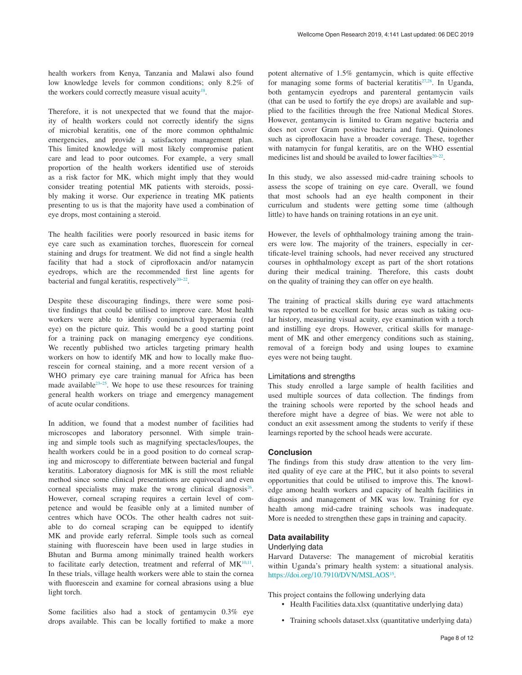health workers from Kenya, Tanzania and Malawi also found low knowledge levels for common conditions; only 8.2% of the workers could correctly measure visual acuity<sup>18</sup>.

Therefore, it is not unexpected that we found that the majority of health workers could not correctly identify the signs of microbial keratitis, one of the more common ophthalmic emergencies, and provide a satisfactory management plan. This limited knowledge will most likely compromise patient care and lead to poor outcomes. For example, a very small proportion of the health workers identified use of steroids as a risk factor for MK, which might imply that they would consider treating potential MK patients with steroids, possibly making it worse. Our experience in treating MK patients presenting to us is that the majority have used a combination of eye drops, most containing a steroid.

The health facilities were poorly resourced in basic items for eye care such as examination torches, fluorescein for corneal staining and drugs for treatment. We did not find a single health facility that had a stock of ciprofloxacin and/or natamycin eyedrops, which are the recommended first line agents for bacterial and fungal keratitis, respectively $20-22$ .

Despite these discouraging findings, there were some positive findings that could be utilised to improve care. Most health workers were able to identify conjunctival hyperaemia (red eye) on the picture quiz. This would be a good starting point for a training pack on managing emergency eye conditions. We recently published two articles targeting primary health workers on how to identify MK and how to locally make fluorescein for corneal staining, and a more recent version of a WHO primary eye care training manual for Africa has been made available $2^{3-25}$ . We hope to use these resources for training general health workers on triage and emergency management of acute ocular conditions.

In addition, we found that a modest number of facilities had microscopes and laboratory personnel. With simple training and simple tools such as magnifying spectacles/loupes, the health workers could be in a good position to do corneal scraping and microscopy to differentiate between bacterial and fungal keratitis. Laboratory diagnosis for MK is still the most reliable method since some clinical presentations are equivocal and even corneal specialists may make the wrong clinical diagnosis<sup>26</sup>. However, corneal scraping requires a certain level of competence and would be feasible only at a limited number of centres which have OCOs. The other health cadres not suitable to do corneal scraping can be equipped to identify MK and provide early referral. Simple tools such as corneal staining with fluorescein have been used in large studies in Bhutan and Burma among minimally trained health workers to facilitate early detection, treatment and referral of  $MK^{10,11}$  $MK^{10,11}$  $MK^{10,11}$ . In these trials, village health workers were able to stain the cornea with fluorescein and examine for corneal abrasions using a blue light torch.

Some facilities also had a stock of gentamycin 0.3% eye drops available. This can be locally fortified to make a more potent alternative of 1.5% gentamycin, which is quite effective for managing some forms of bacterial keratitis<sup>[27,28](#page-8-0)</sup>. In Uganda, both gentamycin eyedrops and parenteral gentamycin vails (that can be used to fortify the eye drops) are available and supplied to the facilities through the free National Medical Stores. However, gentamycin is limited to Gram negative bacteria and does not cover Gram positive bacteria and fungi. Quinolones such as ciprofloxacin have a broader coverage. These, together with natamycin for fungal keratitis, are on the WHO essential medicines list and should be availed to lower facilties<sup>20-22</sup>.

In this study, we also assessed mid-cadre training schools to assess the scope of training on eye care. Overall, we found that most schools had an eye health component in their curriculum and students were getting some time (although little) to have hands on training rotations in an eye unit.

However, the levels of ophthalmology training among the trainers were low. The majority of the trainers, especially in certificate-level training schools, had never received any structured courses in ophthalmology except as part of the short rotations during their medical training. Therefore, this casts doubt on the quality of training they can offer on eye health.

The training of practical skills during eye ward attachments was reported to be excellent for basic areas such as taking ocular history, measuring visual acuity, eye examination with a torch and instilling eye drops. However, critical skills for management of MK and other emergency conditions such as staining, removal of a foreign body and using loupes to examine eyes were not being taught.

#### Limitations and strengths

This study enrolled a large sample of health facilities and used multiple sources of data collection. The findings from the training schools were reported by the school heads and therefore might have a degree of bias. We were not able to conduct an exit assessment among the students to verify if these learnings reported by the school heads were accurate.

#### **Conclusion**

The findings from this study draw attention to the very limited quality of eye care at the PHC, but it also points to several opportunities that could be utilised to improve this. The knowledge among health workers and capacity of health facilities in diagnosis and management of MK was low. Training for eye health among mid-cadre training schools was inadequate. More is needed to strengthen these gaps in training and capacity.

#### **Data availability**

#### Underlying data

Harvard Dataverse: The management of microbial keratitis within Uganda's primary health system: a situational analysis. <https://doi.org/10.7910/DVN/MSLAOS><sup>[15](#page-8-0)</sup>.

This project contains the following underlying data

- Health Facilities data.xlsx (quantitative underlying data)
- Training schools dataset.xlsx (quantitative underlying data)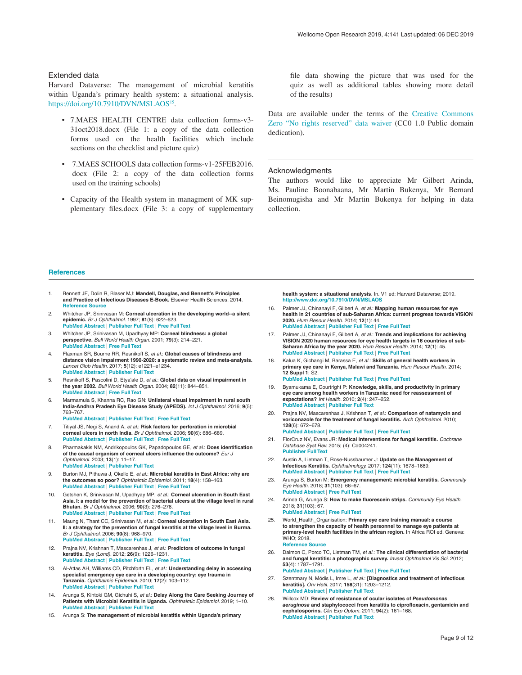#### <span id="page-8-0"></span>Extended data

Harvard Dataverse: The management of microbial keratitis within Uganda's primary health system: a situational analysis. <https://doi.org/10.7910/DVN/MSLAOS><sup>15</sup>.

- 7.MAES HEALTH CENTRE data collection forms-v3- 31oct2018.docx (File 1: a copy of the data collection forms used on the health facilities which include sections on the checklist and picture quiz)
- 7.MAES SCHOOLS data collection forms-v1-25FEB2016. docx (File 2: a copy of the data collection forms used on the training schools)
- Capacity of the Health system in managment of MK supplementary files.docx (File 3: a copy of supplementary

file data showing the picture that was used for the quiz as well as additional tables showing more detail of the results)

Data are available under the terms of the [Creative Commons](http://creativecommons.org/publicdomain/zero/1.0/)  [Zero "No rights reserved" data waiver](http://creativecommons.org/publicdomain/zero/1.0/) (CC0 1.0 Public domain dedication).

#### Acknowledgments

The authors would like to appreciate Mr Gilbert Arinda, Ms. Pauline Boonabaana, Mr Martin Bukenya, Mr Bernard Beinomugisha and Mr Martin Bukenya for helping in data collection.

#### **References**

- 1. Bennett JE, Dolin R, Blaser MJ: **Mandell, Douglas, and Bennett's Principles and Practice of Infectious Diseases E-Book.** Elsevier Health Sciences. 2014. **Reference** Source
- 2. Whitcher JP, Srinivasan M: **Corneal ulceration in the developing world--a silent epidemic.** *Br J Ophthalmol.* 1997; **81**(8): 622–623. **[PubMed Abstract](http://www.ncbi.nlm.nih.gov/pubmed/9349145)** | **[Publisher Full Text](http://dx.doi.org/10.1136/bjo.81.8.622)** | **[Free Full Text](http://www.ncbi.nlm.nih.gov/pmc/articles/1722289)**
- 3. Whitcher JP, Srinivasan M, Upadhyay MP: **Corneal blindness: a global perspective.** *Bull World Health Organ.* 2001; **79**(3): 214–221. **[PubMed Abstract](http://www.ncbi.nlm.nih.gov/pubmed/11285665)** | **[Free Full Text](http://www.ncbi.nlm.nih.gov/pmc/articles/2566379)**
- 4. Flaxman SR, Bourne RR, Resnikoff S, *et al.*: **Global causes of blindness and distance vision impairment 1990-2020: a systematic review and meta-analysis.** *Lancet Glob Health.* 2017; **5**(12): e1221–e1234. **[PubMed Abstract](http://www.ncbi.nlm.nih.gov/pubmed/29032195)** | **[Publisher Full Text](http://dx.doi.org/10.1016/S2214-109X(17)30393-5)**
- 5. Resnikoff S, Pascolini D, Etya'ale D, *et al.*: **Global data on visual impairment in the year 2002.** *Bull World Health Organ.* 2004; **82**(11): 844–851. **[PubMed Abstract](http://www.ncbi.nlm.nih.gov/pubmed/15640920)** | **[Free Full Text](http://www.ncbi.nlm.nih.gov/pmc/articles/2623053)**
- 6. Marmamula S, Khanna RC, Rao GN: **Unilateral visual impairment in rural south India-Andhra Pradesh Eye Disease Study (APEDS).** *Int J Ophthalmol.* 2016; **9**(5): 763–767. **[PubMed Abstract](http://www.ncbi.nlm.nih.gov/pubmed/27275437)** | **[Publisher Full Text](http://dx.doi.org/10.18240/ijo.2016.05.23)** | **[Free Full Text](http://www.ncbi.nlm.nih.gov/pmc/articles/4886893)**
- Titiyal JS, Negi S, Anand A, et al.: Risk factors for perforation in microbial **corneal ulcers in north India.** *Br J Ophthalmol.* 2006; **90**(6): 686–689. **[PubMed Abstract](http://www.ncbi.nlm.nih.gov/pubmed/16531425)** | **[Publisher Full Text](http://dx.doi.org/10.1136/bjo.2005.079533)** | **[Free Full Text](http://www.ncbi.nlm.nih.gov/pmc/articles/1860223)**
- 8. Pharmakakis NM, Andrikopoulos GK, Papadopoulos GE, *et al.*: **Does identification of the causal organism of corneal ulcers influence the outcome?** *Eur J Ophthalmol.* 2003; **13**(1): 11–17. **[PubMed Abstract](http://www.ncbi.nlm.nih.gov/pubmed/12635669)** | **[Publisher Full Text](http://dx.doi.org/10.1177/112067210301300102)**
- Burton MJ, Pithuwa J, Okello E, et al.: Microbial keratitis in East Africa: why are **the outcomes so poor?** *Ophthalmic Epidemiol.* 2011; **18**(4): 158–163. **[PubMed Abstract](http://www.ncbi.nlm.nih.gov/pubmed/21780874)** | **[Publisher Full Text](http://dx.doi.org/10.3109/09286586.2011.595041)** | **[Free Full Text](http://www.ncbi.nlm.nih.gov/pmc/articles/3670402)**
- 10. Getshen K, Srinivasan M, Upadhyay MP, *et al.*: **Corneal ulceration in South East Asia. I: a model for the prevention of bacterial ulcers at the village level in rural Bhutan.** *Br J Ophthalmol.* 2006; **90**(3): 276–278. **[PubMed Abstract](http://www.ncbi.nlm.nih.gov/pubmed/16488943)** | **[Publisher Full Text](http://dx.doi.org/10.1136/bjo.2005.076083)** | **[Free Full Text](http://www.ncbi.nlm.nih.gov/pmc/articles/1856957)**
- 11. Maung N, Thant CC, Srinivasan M, *et al.*: **Corneal ulceration in South East Asia. II: a strategy for the prevention of fungal keratitis at the village level in Burma.** *Br J Ophthalmol.* 2006; **90**(8): 968–970. **[PubMed Abstract](http://www.ncbi.nlm.nih.gov/pubmed/16707522)** | **[Publisher Full Text](http://dx.doi.org/10.1136/bjo.2006.094706)** | **[Free Full Text](http://www.ncbi.nlm.nih.gov/pmc/articles/1857195)**
- 12. Prajna NV, Krishnan T, Mascarenhas J, *et al.*: **Predictors of outcome in fungal keratitis.** *Eye (Lond).* 2012; **26**(9): 1226–1231. **[PubMed Abstract](http://www.ncbi.nlm.nih.gov/pubmed/22744392)** | **[Publisher Full Text](http://dx.doi.org/10.1038/eye.2012.99)** | **[Free Full Text](http://www.ncbi.nlm.nih.gov/pmc/articles/3443844)**
- 13. Al-Attas AH, Williams CD, Pitchforth EL, *et al.*: **Understanding delay in accessing specialist emergency eye care in a developing country: eye trauma in Tanzania.** *Ophthalmic Epidemiol.* 2010; **17**(2): 103–112. **[PubMed Abstract](http://www.ncbi.nlm.nih.gov/pubmed/20132093)** | **[Publisher Full Text](http://dx.doi.org/10.3109/09286580903453522)**
- 14. Arunga S, Kintoki GM, Gichuhi S, *et al.*: **Delay Along the Care Seeking Journey of Patients with Microbial Keratitis in Uganda.** *Ophthalmic Epidemiol.* 2019; 1–10. **[PubMed Abstract](http://www.ncbi.nlm.nih.gov/pubmed/31088316)** | **[Publisher Full Text](http://dx.doi.org/10.1080/09286586.2019.1616775)**
- 15. Arunga S: **The management of microbial keratitis within Uganda's primary**

**health system: a situational analysis**. In. V1 ed: Harvard Dataverse; 2019. **<http://www.doi.org/10.7910/DVN/MSLAOS>**

- 16. Palmer JJ, Chinanayi F, Gilbert A, *et al.*: **Mapping human resources for eye health in 21 countries of sub-Saharan Africa: current progress towards VISION 2020.** *Hum Resour Health.* 2014; **12**(1): 44. **[PubMed Abstract](http://www.ncbi.nlm.nih.gov/pubmed/25128163)** | **[Publisher Full Text](http://dx.doi.org/10.1186/1478-4491-12-44)** | **[Free Full Text](http://www.ncbi.nlm.nih.gov/pmc/articles/4237800)**
- 17. Palmer JJ, Chinanayi F, Gilbert A, *et al.*: **Trends and implications for achieving VISION 2020 human resources for eye health targets in 16 countries of sub-Saharan Africa by the year 2020.** *Hum Resour Health.* 2014; **12**(1): 45. **[PubMed Abstract](http://www.ncbi.nlm.nih.gov/pubmed/25128287)** | **[Publisher Full Text](http://dx.doi.org/10.1186/1478-4491-12-45)** | **[Free Full Text](http://www.ncbi.nlm.nih.gov/pmc/articles/4237790)**
- 18. Kalua K, Gichangi M, Barassa E, *et al.*: **Skills of general health workers in primary eye care in Kenya, Malawi and Tanzania.** *Hum Resour Health.* 2014; **12 Suppl 1**: S2. **[PubMed Abstract](http://www.ncbi.nlm.nih.gov/pubmed/25860909)** | **[Publisher Full Text](http://dx.doi.org/10.1186/1478-4491-12-S1-S2)** | **[Free Full Text](http://www.ncbi.nlm.nih.gov/pmc/articles/4108885)**
- 19. Byamukama E, Courtright P: **Knowledge, skills, and productivity in primary eye care among health workers in Tanzania: need for reassessment of expectations?** *Int Health.* 2010; **2**(4): 247–252. **[PubMed Abstract](http://www.ncbi.nlm.nih.gov/pubmed/24037865)** | **[Publisher Full Text](http://dx.doi.org/10.1016/j.inhe.2010.07.008)**
- 20. Prajna NV, Mascarenhas J, Krishnan T, *et al.*: **Comparison of natamycin and voriconazole for the treatment of fungal keratitis.** *Arch Ophthalmol.* 2010; **128**(6): 672–678. **[PubMed Abstract](http://www.ncbi.nlm.nih.gov/pubmed/20547942)** | **[Publisher Full Text](http://dx.doi.org/10.1001/archophthalmol.2010.102)** | **[Free Full Text](http://www.ncbi.nlm.nih.gov/pmc/articles/3774126)**
- 21. FlorCruz NV, Evans JR: **Medical interventions for fungal keratitis.** *Cochrane Database Syst Rev.* 2015; (4): Cd004241. **[Publisher Full Text](http://dx.doi.org/10.1002/14651858.CD004241.pub4)**
- 22. Austin A, Lietman T, Rose-Nussbaumer J: **Update on the Management of Infectious Keratitis.** *Ophthalmology.* 2017; **124**(11): 1678–1689. **[PubMed Abstract](http://www.ncbi.nlm.nih.gov/pubmed/28942073)** | **[Publisher Full Text](http://dx.doi.org/10.1016/j.ophtha.2017.05.012)** | **[Free Full Text](http://www.ncbi.nlm.nih.gov/pmc/articles/5710829)**
- 23. Arunga S, Burton M: **Emergency management: microbial keratitis.** *Community Eye Health.* 2018; **31**(103): 66–67. **[PubMed Abstract](http://www.ncbi.nlm.nih.gov/pubmed/30487686)** | **[Free Full Text](http://www.ncbi.nlm.nih.gov/pmc/articles/6253318)**
- 24. Arinda G, Arunga S: **How to make fluorescein strips.** *Community Eye Health.* 2018; **31**(103): 67.
- **[PubMed Abstract](http://www.ncbi.nlm.nih.gov/pubmed/30487687)** | **[Free Full Text](http://www.ncbi.nlm.nih.gov/pmc/articles/6253310)** 25. World\_Health\_Organisation: **Primary eye care training manual: a course to strengthen the capacity of health personnel to manage eye patients at primary-level health facilities in the african region.** In Africa ROf ed. Geneva: WHO; 2018.
- **[Reference Source](https://www.afro.who.int/sites/default/files/2018-06/WEB-2835-OMS-Afro-PrimaryEyeCaretrainingmanual-20180406.pdf)** 26. Dalmon C, Porco TC, Lietman TM, *et al.*: **The clinical differentiation of bacterial and fungal keratitis: a photographic survey.** *Invest Ophthalmol Vis Sci.* 2012; **53**(4): 1787–1791. **[PubMed Abstract](http://www.ncbi.nlm.nih.gov/pubmed/22395880)** | **[Publisher Full Text](http://dx.doi.org/10.1167/iovs.11-8478)** | **[Free Full Text](http://www.ncbi.nlm.nih.gov/pmc/articles/3342793)**
- 27. Szentmary N, Módis L, Imre L, *et al.*: **[Diagnostics and treatment of infectious keratitis].** *Orv Hetil.* 2017; **158**(31): 1203–1212. **[PubMed Abstract](http://www.ncbi.nlm.nih.gov/pubmed/28758436)** | **[Publisher Full Text](http://dx.doi.org/10.1556/650.2017.30821)**
- 28. Willcox MD: **Review of resistance of ocular isolates of** *Pseudomonas aeruginosa* **and staphylococci from keratitis to ciprofloxacin, gentamicin and cephalosporins.** *Clin Exp Optom.* 2011; **94**(2): 161–168. **[PubMed Abstract](http://www.ncbi.nlm.nih.gov/pubmed/21083760)** | **[Publisher Full Text](http://dx.doi.org/10.1111/j.1444-0938.2010.00536.x)**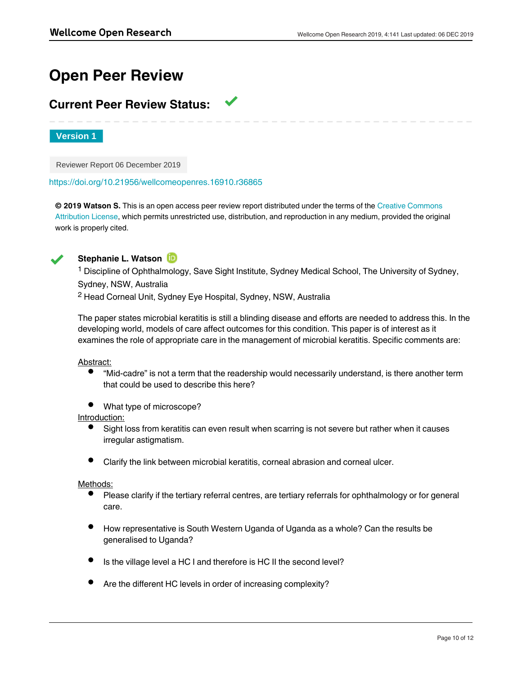# **Open Peer Review**

# **Current Peer Review Status:**

**Version 1**

Reviewer Report 06 December 2019

<https://doi.org/10.21956/wellcomeopenres.16910.r36865>

**© 2019 Watson S.** This is an open access peer review report distributed under the terms of the [Creative Commons](https://creativecommons.org/licenses/by/4.0/) [Attribution License](https://creativecommons.org/licenses/by/4.0/), which permits unrestricted use, distribution, and reproduction in any medium, provided the original work is properly cited.



## **Stephanie L. Watson**

<sup>1</sup> Discipline of Ophthalmology, Save Sight Institute, Sydney Medical School, The University of Sydney, Sydney, NSW, Australia <sup>2</sup> Head Corneal Unit, Sydney Eye Hospital, Sydney, NSW, Australia

The paper states microbial keratitis is still a blinding disease and efforts are needed to address this. In the developing world, models of care affect outcomes for this condition. This paper is of interest as it examines the role of appropriate care in the management of microbial keratitis. Specific comments are:

Abstract:

- $\bullet$ "Mid-cadre" is not a term that the readership would necessarily understand, is there another term that could be used to describe this here?
- What type of microscope?

Introduction:

- Sight loss from keratitis can even result when scarring is not severe but rather when it causes irregular astigmatism.
- Clarify the link between microbial keratitis, corneal abrasion and corneal ulcer.

Methods:

 $\bullet$ Please clarify if the tertiary referral centres, are tertiary referrals for ophthalmology or for general care.

When it is stated that "all the health facilities with the sampled districts within the sampled districts were enrolled that  $\alpha$ 

- How representative is South Western Uganda of Uganda as a whole? Can the results be generalised to Uganda?
- Is the village level a HC I and therefore is HC II the second level?
- Are the different HC levels in order of increasing complexity?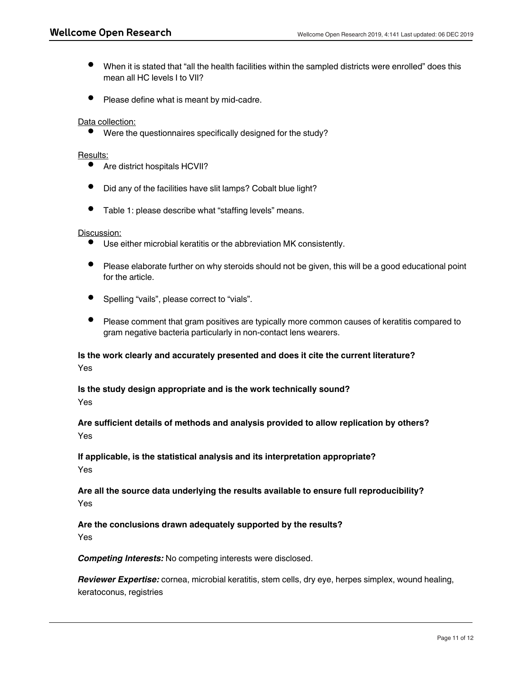- When it is stated that "all the health facilities within the sampled districts were enrolled" does this mean all HC levels I to VII?
- Please define what is meant by mid-cadre.

Data collection:

Were the questionnaires specifically designed for the study?

### Results:

- Are district hospitals HCVII?
- Did any of the facilities have slit lamps? Cobalt blue light?
- Table 1: please describe what "staffing levels" means.

#### Discussion:

- Use either microbial keratitis or the abbreviation MK consistently.
- Please elaborate further on why steroids should not be given, this will be a good educational point for the article.
- Spelling "vails", please correct to "vials".
- Please comment that gram positives are typically more common causes of keratitis compared to gram negative bacteria particularly in non-contact lens wearers.

### **Is the work clearly and accurately presented and does it cite the current literature?** Yes

# **Is the study design appropriate and is the work technically sound?**

Yes

**Are sufficient details of methods and analysis provided to allow replication by others?** Yes

**If applicable, is the statistical analysis and its interpretation appropriate?** Yes

**Are all the source data underlying the results available to ensure full reproducibility?** Yes

## **Are the conclusions drawn adequately supported by the results?**

Yes

*Competing Interests:* No competing interests were disclosed.

*Reviewer Expertise:* cornea, microbial keratitis, stem cells, dry eye, herpes simplex, wound healing, keratoconus, registries

**I confirm that I have read this submission and believe that I have an appropriate level of**